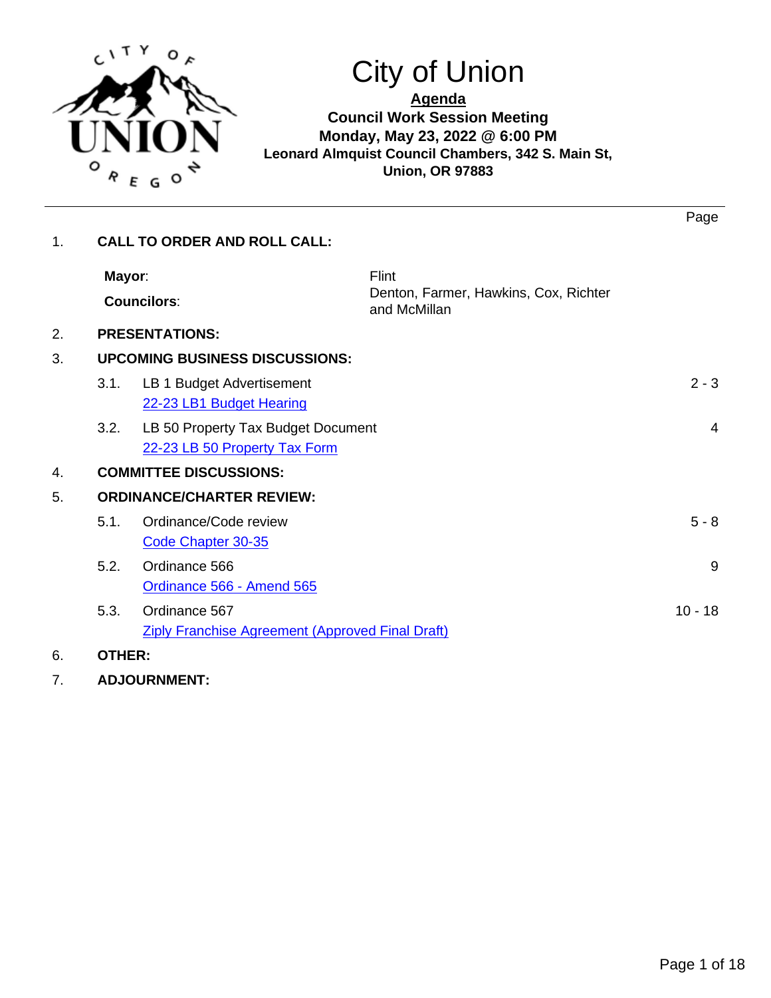

# City of Union

**Agenda Council Work Session Meeting Monday, May 23, 2022 @ 6:00 PM Leonard Almquist Council Chambers, 342 S. Main St, Union, OR 97883**

| 1. |               | <b>CALL TO ORDER AND ROLL CALL:</b>                                      | Page                                                  |
|----|---------------|--------------------------------------------------------------------------|-------------------------------------------------------|
|    | Mayor:        | Flint<br><b>Councilors:</b>                                              | Denton, Farmer, Hawkins, Cox, Richter<br>and McMillan |
| 2. |               | <b>PRESENTATIONS:</b>                                                    |                                                       |
| 3. |               | <b>UPCOMING BUSINESS DISCUSSIONS:</b>                                    |                                                       |
|    | 3.1.          | LB 1 Budget Advertisement<br>22-23 LB1 Budget Hearing                    | $2 - 3$                                               |
|    | 3.2.          | LB 50 Property Tax Budget Document<br>22-23 LB 50 Property Tax Form      | $\overline{4}$                                        |
| 4. |               | <b>COMMITTEE DISCUSSIONS:</b>                                            |                                                       |
| 5. |               | <b>ORDINANCE/CHARTER REVIEW:</b>                                         |                                                       |
|    | 5.1.          | Ordinance/Code review<br>Code Chapter 30-35                              | $5 - 8$                                               |
|    | 5.2.          | Ordinance 566<br>Ordinance 566 - Amend 565                               | 9                                                     |
|    | 5.3.          | Ordinance 567<br><b>Ziply Franchise Agreement (Approved Final Draft)</b> | $10 - 18$                                             |
| 6. | <b>OTHER:</b> |                                                                          |                                                       |

7. **ADJOURNMENT:**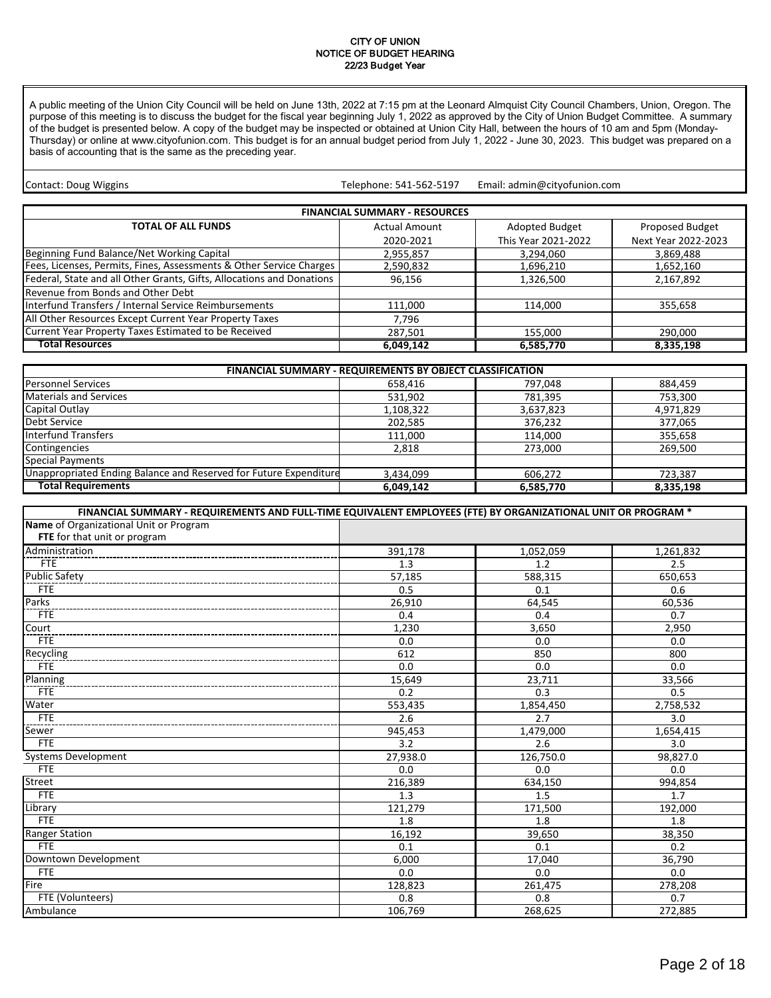#### CITY OF UNION NOTICE OF BUDGET HEARING 22/23 Budget Year

<span id="page-1-0"></span>A public meeting of the Union City Council will be held on June 13th, 2022 at 7:15 pm at the Leonard Almquist City Council Chambers, Union, Oregon. The purpose of this meeting is to discuss the budget for the fiscal year beginning July 1, 2022 as approved by the City of Union Budget Committee. A summary of the budget is presented below. A copy of the budget may be inspected or obtained at Union City Hall, between the hours of 10 am and 5pm (Monday-Thursday) or online at www.cityofunion.com. This budget is for an annual budget period from July 1, 2022 - June 30, 2023. This budget was prepared on a basis of accounting that is the same as the preceding year.

Telephone: 541-562-5197 Contact: Doug Wiggins **Email: 2018** Telephone: 541-562-5197 Email: admin@cityofunion.com

| <b>FINANCIAL SUMMARY - RESOURCES</b>                                  |                      |                     |                     |  |  |
|-----------------------------------------------------------------------|----------------------|---------------------|---------------------|--|--|
| <b>TOTAL OF ALL FUNDS</b>                                             | <b>Actual Amount</b> | Adopted Budget      | Proposed Budget     |  |  |
|                                                                       | 2020-2021            | This Year 2021-2022 | Next Year 2022-2023 |  |  |
| Beginning Fund Balance/Net Working Capital                            | 2,955,857            | 3,294,060           | 3,869,488           |  |  |
| Fees, Licenses, Permits, Fines, Assessments & Other Service Charges   | 2,590,832            | 1,696,210           | 1,652,160           |  |  |
| Federal, State and all Other Grants, Gifts, Allocations and Donations | 96,156               | 1,326,500           | 2,167,892           |  |  |
| Revenue from Bonds and Other Debt                                     |                      |                     |                     |  |  |
| Interfund Transfers / Internal Service Reimbursements                 | 111,000              | 114.000             | 355,658             |  |  |
| All Other Resources Except Current Year Property Taxes                | 7.796                |                     |                     |  |  |
| Current Year Property Taxes Estimated to be Received                  | 287,501              | 155,000             | 290,000             |  |  |
| <b>Total Resources</b>                                                | 6,049,142            | 6,585,770           | 8,335,198           |  |  |

| <b>FINANCIAL SUMMARY - REQUIREMENTS BY OBJECT CLASSIFICATION</b>  |           |           |           |  |
|-------------------------------------------------------------------|-----------|-----------|-----------|--|
| <b>Personnel Services</b>                                         | 658,416   | 797,048   | 884,459   |  |
| <b>Materials and Services</b>                                     | 531,902   | 781,395   | 753,300   |  |
| Capital Outlay                                                    | 1,108,322 | 3,637,823 | 4,971,829 |  |
| Debt Service                                                      | 202,585   | 376,232   | 377,065   |  |
| <b>Interfund Transfers</b>                                        | 111,000   | 114,000   | 355,658   |  |
| Contingencies                                                     | 2.818     | 273.000   | 269.500   |  |
| <b>Special Payments</b>                                           |           |           |           |  |
| Unappropriated Ending Balance and Reserved for Future Expenditure | 3,434,099 | 606.272   | 723,387   |  |
| <b>Total Requirements</b>                                         | 6,049,142 | 6,585,770 | 8,335,198 |  |

| FINANCIAL SUMMARY - REQUIREMENTS AND FULL-TIME EQUIVALENT EMPLOYEES (FTE) BY ORGANIZATIONAL UNIT OR PROGRAM * |          |           |           |  |
|---------------------------------------------------------------------------------------------------------------|----------|-----------|-----------|--|
| Name of Organizational Unit or Program                                                                        |          |           |           |  |
| FTE for that unit or program                                                                                  |          |           |           |  |
| Administration                                                                                                | 391,178  | 1,052,059 | 1,261,832 |  |
| <b>FTE</b>                                                                                                    | 1.3      | 1.2       | 2.5       |  |
| <b>Public Safety</b>                                                                                          | 57,185   | 588,315   | 650,653   |  |
| <b>FTE</b>                                                                                                    | 0.5      | 0.1       | 0.6       |  |
| Parks                                                                                                         | 26,910   | 64,545    | 60,536    |  |
| <b>FTE</b>                                                                                                    | 0.4      | 0.4       | 0.7       |  |
| Court                                                                                                         | 1,230    | 3,650     | 2,950     |  |
| <b>FTE</b>                                                                                                    | 0.0      | 0.0       | 0.0       |  |
| Recycling                                                                                                     | 612      | 850       | 800       |  |
| <b>FTE</b>                                                                                                    | 0.0      | 0.0       | 0.0       |  |
| Planning                                                                                                      | 15,649   | 23,711    | 33,566    |  |
| <b>FTE</b>                                                                                                    | 0.2      | 0.3       | 0.5       |  |
| Water                                                                                                         | 553,435  | 1,854,450 | 2,758,532 |  |
| <b>FTE</b>                                                                                                    | 2.6      | 2.7       | 3.0       |  |
| Sewer                                                                                                         | 945,453  | 1,479,000 | 1,654,415 |  |
| <b>FTE</b>                                                                                                    | 3.2      | 2.6       | 3.0       |  |
| <b>Systems Development</b>                                                                                    | 27,938.0 | 126,750.0 | 98,827.0  |  |
| <b>FTE</b>                                                                                                    | 0.0      | 0.0       | 0.0       |  |
| <b>Street</b>                                                                                                 | 216,389  | 634,150   | 994,854   |  |
| FTE                                                                                                           | 1.3      | 1.5       | 1.7       |  |
| Library                                                                                                       | 121,279  | 171,500   | 192,000   |  |
| <b>FTE</b>                                                                                                    | 1.8      | 1.8       | 1.8       |  |
| <b>Ranger Station</b>                                                                                         | 16,192   | 39,650    | 38,350    |  |
| FTE                                                                                                           | 0.1      | 0.1       | 0.2       |  |
| Downtown Development                                                                                          | 6.000    | 17,040    | 36,790    |  |
| FTE                                                                                                           | 0.0      | 0.0       | 0.0       |  |
| Fire                                                                                                          | 128,823  | 261,475   | 278,208   |  |
| FTE (Volunteers)                                                                                              | 0.8      | 0.8       | 0.7       |  |
| Ambulance                                                                                                     | 106,769  | 268,625   | 272,885   |  |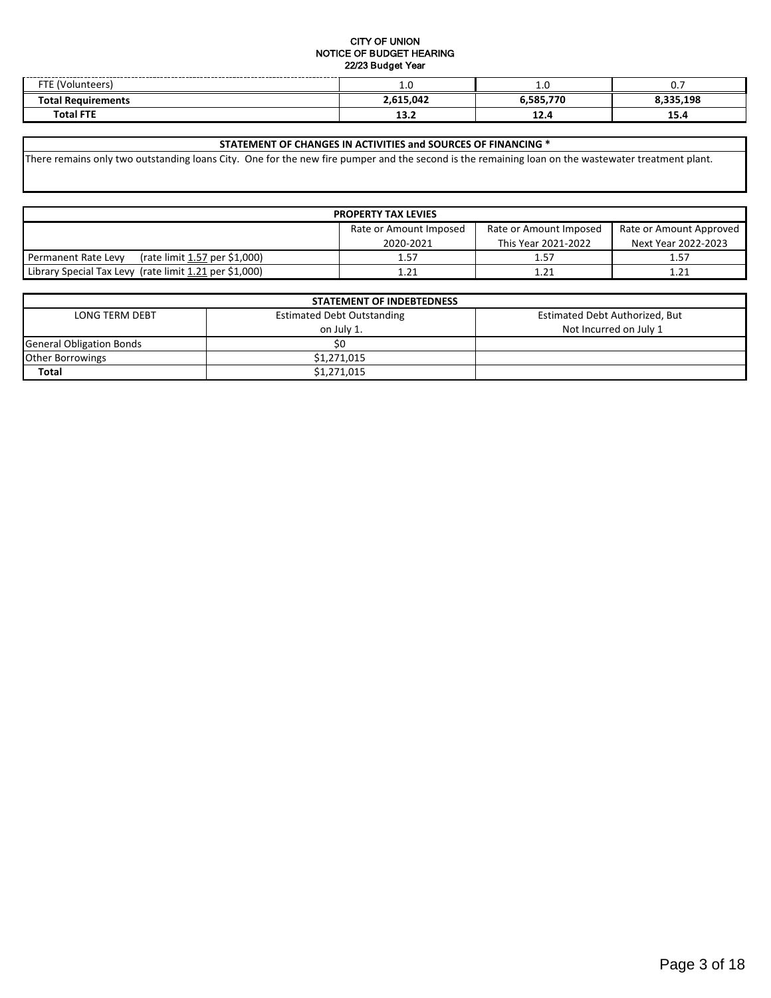#### CITY OF UNION NOTICE OF BUDGET HEARING 22/23 Budget Year

| ---<br>$n + \alpha$<br>--     | <b></b>   | ں. 1        | v.       |
|-------------------------------|-----------|-------------|----------|
| <sup>-</sup> ota<br>ıirements | 2.615.042 | 770<br>coc  | .335.198 |
| <b>CITY</b><br>$\tau$ otal    | 13.L      | <b>14.4</b> | 15.4     |

#### **STATEMENT OF CHANGES IN ACTIVITIES and SOURCES OF FINANCING \***

There remains only two outstanding loans City. One for the new fire pumper and the second is the remaining loan on the wastewater treatment plant.

| <b>PROPERTY TAX LEVIES</b>                                                  |           |                     |                     |  |
|-----------------------------------------------------------------------------|-----------|---------------------|---------------------|--|
| Rate or Amount Imposed<br>Rate or Amount Imposed<br>Rate or Amount Approved |           |                     |                     |  |
|                                                                             | 2020-2021 | This Year 2021-2022 | Next Year 2022-2023 |  |
| (rate limit 1.57 per \$1,000)<br>Permanent Rate Levy                        | 1.57      | 1.57                | 1.57                |  |
| Library Special Tax Levy (rate limit 1.21 per \$1,000)                      | 1.21      | 1.21                | 1.21                |  |

| <b>STATEMENT OF INDEBTEDNESS</b> |                                   |                                |  |  |
|----------------------------------|-----------------------------------|--------------------------------|--|--|
| LONG TERM DEBT                   | <b>Estimated Debt Outstanding</b> | Estimated Debt Authorized, But |  |  |
|                                  | on July 1.                        | Not Incurred on July 1         |  |  |
| <b>General Obligation Bonds</b>  | S0                                |                                |  |  |
| <b>Other Borrowings</b>          | \$1,271,015                       |                                |  |  |
| <b>Total</b>                     | \$1,271,015                       |                                |  |  |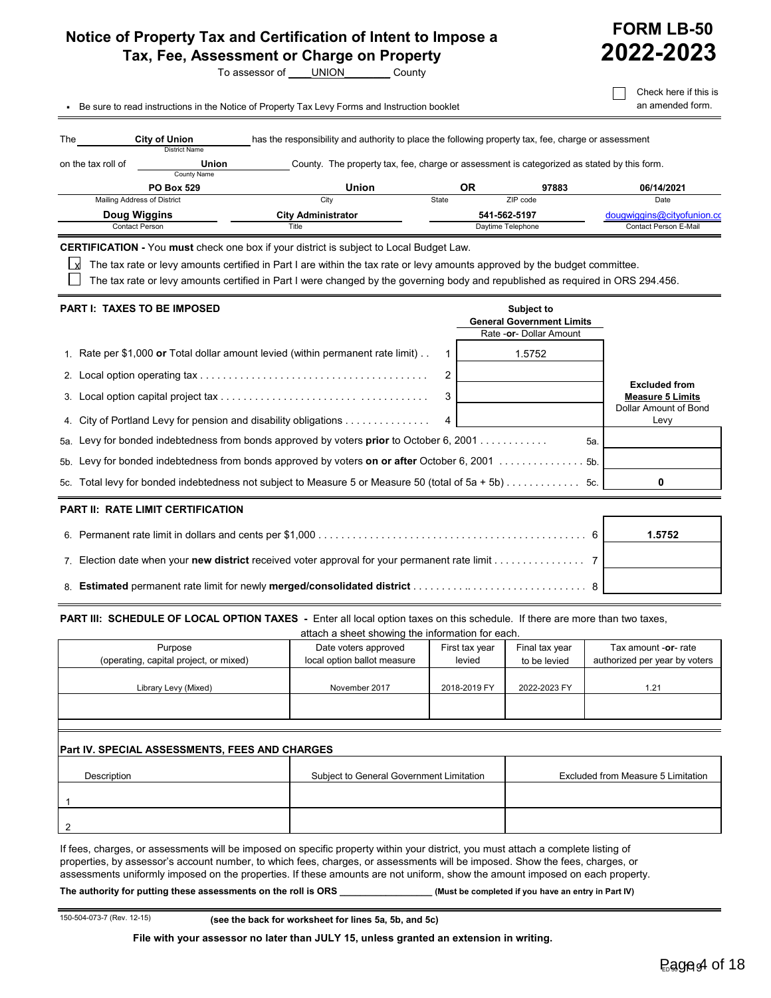### <span id="page-3-0"></span>**Notice of Property Tax and Certification of Intent to Impose a Tax, Fee, Assessment or Charge on Property**

To assessor of \_\_\_\_UNION\_\_\_\_\_\_\_\_ County

|                                           | - Be sure to read instructions in the Notice of Property Tax Levy Forms and Instruction booklet                                                                                                                                                                                                                                                                 |                                    |                                                                                                                                                                                                   |                |                                   |                                                                            |     | Check here if this is<br>an amended form.           |
|-------------------------------------------|-----------------------------------------------------------------------------------------------------------------------------------------------------------------------------------------------------------------------------------------------------------------------------------------------------------------------------------------------------------------|------------------------------------|---------------------------------------------------------------------------------------------------------------------------------------------------------------------------------------------------|----------------|-----------------------------------|----------------------------------------------------------------------------|-----|-----------------------------------------------------|
| The $\qquad \qquad$<br>on the tax roll of | <b>City of Union</b><br><b>District Name</b><br>Union                                                                                                                                                                                                                                                                                                           |                                    | has the responsibility and authority to place the following property tax, fee, charge or assessment<br>County. The property tax, fee, charge or assessment is categorized as stated by this form. |                |                                   |                                                                            |     |                                                     |
|                                           | County Name                                                                                                                                                                                                                                                                                                                                                     |                                    |                                                                                                                                                                                                   |                |                                   |                                                                            |     |                                                     |
|                                           | <b>PO Box 529</b>                                                                                                                                                                                                                                                                                                                                               |                                    | <b>Union</b>                                                                                                                                                                                      |                | <b>OR</b>                         | 97883                                                                      |     | 06/14/2021                                          |
| Mailing Address of District               |                                                                                                                                                                                                                                                                                                                                                                 |                                    | City                                                                                                                                                                                              | State          |                                   | ZIP code                                                                   |     | Date                                                |
| Doug Wiggins<br><b>Contact Person</b>     |                                                                                                                                                                                                                                                                                                                                                                 | <b>City Administrator</b><br>Title |                                                                                                                                                                                                   |                | 541-562-5197<br>Daytime Telephone |                                                                            |     | dougwiggins@cityofunion.cc<br>Contact Person E-Mail |
|                                           | <b>CERTIFICATION</b> - You must check one box if your district is subject to Local Budget Law.<br>The tax rate or levy amounts certified in Part I are within the tax rate or levy amounts approved by the budget committee.<br>The tax rate or levy amounts certified in Part I were changed by the governing body and republished as required in ORS 294.456. |                                    |                                                                                                                                                                                                   |                |                                   |                                                                            |     |                                                     |
|                                           | <b>PART I: TAXES TO BE IMPOSED</b>                                                                                                                                                                                                                                                                                                                              |                                    |                                                                                                                                                                                                   |                |                                   | Subject to<br><b>General Government Limits</b><br>Rate - or- Dollar Amount |     |                                                     |
|                                           | 1. Rate per \$1,000 or Total dollar amount levied (within permanent rate limit).                                                                                                                                                                                                                                                                                |                                    |                                                                                                                                                                                                   | $\mathbf{1}$   |                                   | 1.5752                                                                     |     |                                                     |
|                                           |                                                                                                                                                                                                                                                                                                                                                                 |                                    |                                                                                                                                                                                                   | $\overline{2}$ |                                   |                                                                            |     | <b>Excluded from</b>                                |
|                                           |                                                                                                                                                                                                                                                                                                                                                                 |                                    |                                                                                                                                                                                                   | 3              |                                   |                                                                            |     | <b>Measure 5 Limits</b><br>Dollar Amount of Bond    |
|                                           | 4. City of Portland Levy for pension and disability obligations                                                                                                                                                                                                                                                                                                 |                                    |                                                                                                                                                                                                   | 4              |                                   |                                                                            |     | Levy                                                |
|                                           | 5a. Levy for bonded indebtedness from bonds approved by voters <b>prior</b> to October 6, 2001                                                                                                                                                                                                                                                                  |                                    |                                                                                                                                                                                                   |                |                                   |                                                                            | 5а. |                                                     |
|                                           | 5b. Levy for bonded indebtedness from bonds approved by voters on or after October 6, 2001  5b.                                                                                                                                                                                                                                                                 |                                    |                                                                                                                                                                                                   |                |                                   |                                                                            |     |                                                     |
|                                           | 5c. Total levy for bonded indebtedness not subject to Measure 5 or Measure 50 (total of 5a + 5b) 5c.                                                                                                                                                                                                                                                            |                                    |                                                                                                                                                                                                   |                |                                   |                                                                            |     | 0                                                   |
|                                           | <b>PART II: RATE LIMIT CERTIFICATION</b>                                                                                                                                                                                                                                                                                                                        |                                    |                                                                                                                                                                                                   |                |                                   |                                                                            |     |                                                     |
|                                           |                                                                                                                                                                                                                                                                                                                                                                 |                                    |                                                                                                                                                                                                   |                |                                   |                                                                            | 6   | 1.5752                                              |
|                                           | 7. Election date when your new district received voter approval for your permanent rate limit 7                                                                                                                                                                                                                                                                 |                                    |                                                                                                                                                                                                   |                |                                   |                                                                            |     |                                                     |

8. **Estimated** permanent rate limit for newly **merged/consolidated district** . . . . . . . . . .. . . . . . . . . . . . . . . . . . . . . 8

PART III: SCHEDULE OF LOCAL OPTION TAXES - Enter all local option taxes on this schedule. If there are more than two taxes,

| attach a sheet showing the information for each.  |                                                     |                          |                                |                                                       |
|---------------------------------------------------|-----------------------------------------------------|--------------------------|--------------------------------|-------------------------------------------------------|
| Purpose<br>(operating, capital project, or mixed) | Date voters approved<br>local option ballot measure | First tax year<br>levied | Final tax year<br>to be levied | Tax amount -or- rate<br>authorized per year by voters |
| Library Levy (Mixed)                              | November 2017                                       | 2018-2019 FY             | 2022-2023 FY                   | 1.21                                                  |
|                                                   |                                                     |                          |                                |                                                       |
|                                                   |                                                     |                          |                                |                                                       |

#### **Part IV. SPECIAL ASSESSMENTS, FEES AND CHARGES**

| <b>Description</b> | Subject to General Government Limitation | Excluded from Measure 5 Limitation |
|--------------------|------------------------------------------|------------------------------------|
|                    |                                          |                                    |
|                    |                                          |                                    |

If fees, charges, or assessments will be imposed on specific property within your district, you must attach a complete listing of properties, by assessor's account number, to which fees, charges, or assessments will be imposed. Show the fees, charges, or assessments uniformly imposed on the properties. If these amounts are not uniform, show the amount imposed on each property.

**The authority for putting these assessments on the roll is ORS \_\_\_\_\_\_\_\_\_\_\_\_\_\_\_\_\_\_ (Must be completed if you have an entry in Part IV)**

150-504-073-7 (Rev. 12-15) **(see the back for worksheet for lines 5a, 5b, and 5c)**

**File with your assessor no later than JULY 15, unless granted an extension in writing.**

Check here is in the contract of the contract of the contract of the contract of the contract of the contract of the contract of the contract of the contract of the contract of the contract of the contract of the contract

**FORM LB-50**

**2022-2023**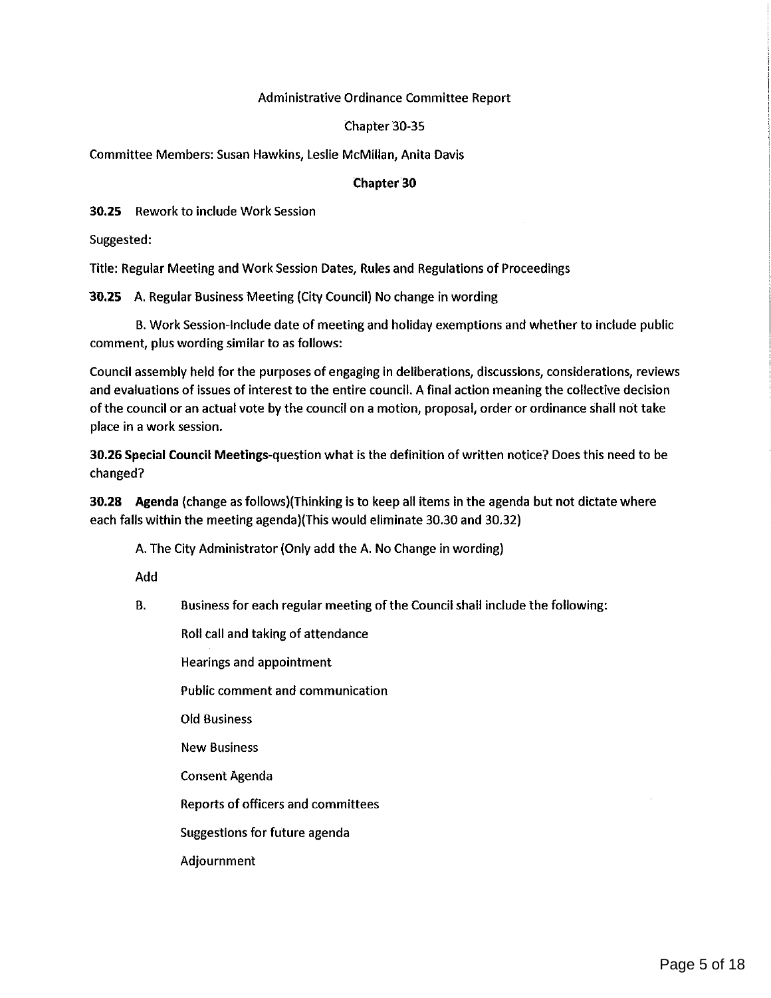### Administrative Ordinance Committee Report

### Chapter 30-35

<span id="page-4-0"></span>Committee Members: Susan Hawkins, Leslie McMillan, Anita Davis

#### 'Chapter'30

30.25 Rework to include Work Session

Suggested:

Title: Regular Meeting and Work Session Dates, Rules and Regulations of Proceedings

30.25 A. Regular Business Meeting (CityCouncil) No change in wording

B. Work Session-Include date of meeting and holiday exemptions and whether to include public comment, plus wording similar to as follows:

Council assembly held for the purposes of engaging in deliberations, discussions, considerations, reviews and evaluations of issues of interest to the entire council. A final action meaning the collective decision of the council or an actual vote by the council on a motion, proposal, order or ordinance shall not take place in a work session.

30.26 Special Council Meetings-question what is the definition of written notice? Does this need to be changed?

30.28 Agenda (change as follows)(Thinking is to keep all items in the agenda but not dictate where each falls within the meeting agenda)(This would eliminate 30.30 and 30.32)

A.The City Administrator (Only add the A. No Change in wording)

Add

B. Business for each regular meeting of the Council shall include the following:

Roll call and taking of attendance

Hearings and appointment

Public comment and communication

Old Business

New Business

Consent Agenda

Reports of officers and committees

Suggestions for future agenda

Adjournment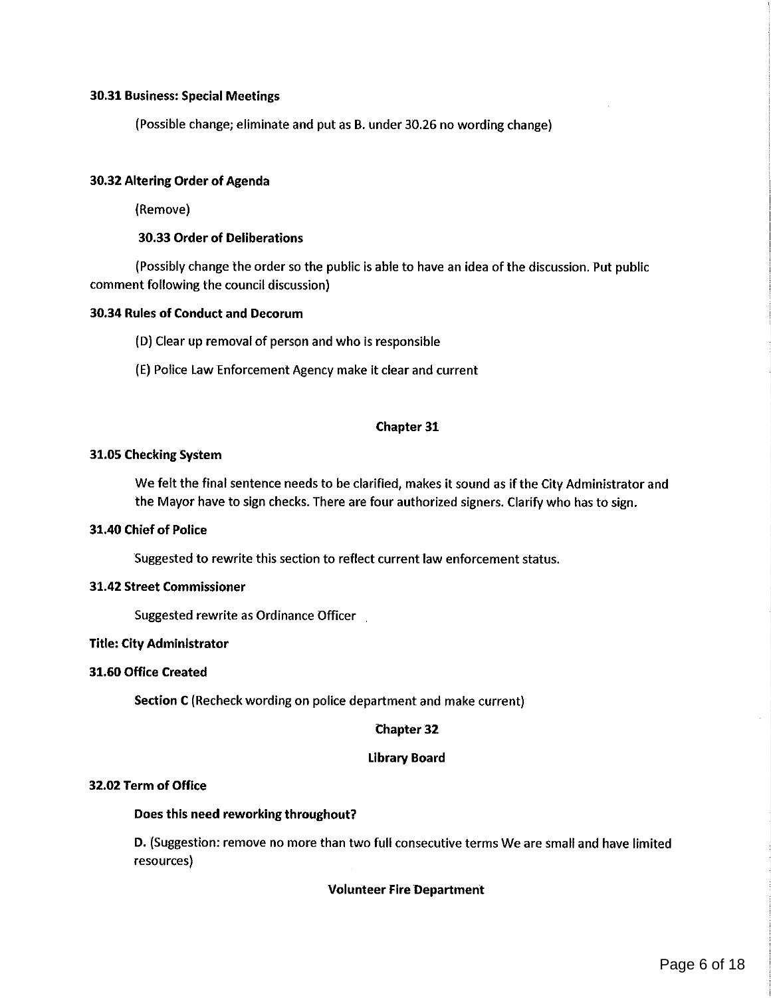#### 30.31 Business: Special Meetings

(Possible change; eliminate and put as B. under 30.26 no wording change) <sup>l</sup>

#### 30.32 Altering Order of Agenda

(Remove)

#### 30.33 Order of Deliberations

(Possibly change the order so the public is able to have an idea of the discussion. Put public comment following the council discussion)

### 30.34 Rules of Conduct and Decorum

- (D) Clear up removal of person and who is responsible
- (E)Police Law Enforcement Agency make it clear and current

#### Chapter 31

#### 31.05 Checking System

We felt the final sentence needs to be clarified, makes it sound as if the City Administrator and the Mayor have to sign checks. There are four authorized signers. Clarifywho has to sign.

#### 31.40 Chief of Police

Suggested to rewrite this section to reflect current law enforcement status.

#### 31.42 Street Commissioner

Suggested rewrite as Ordinance Officer

#### Title: City Administrator

#### 31.60 Office Created

Section C (Recheck wording on police department and make current)

#### Chapter 32

#### Library Board

#### 32.02 Term of Office

#### Does this need reworking throughout?

D. (Suggestion: remove no more than two full consecutive terms We are small and have limited resources)

#### Volunteer Fire Department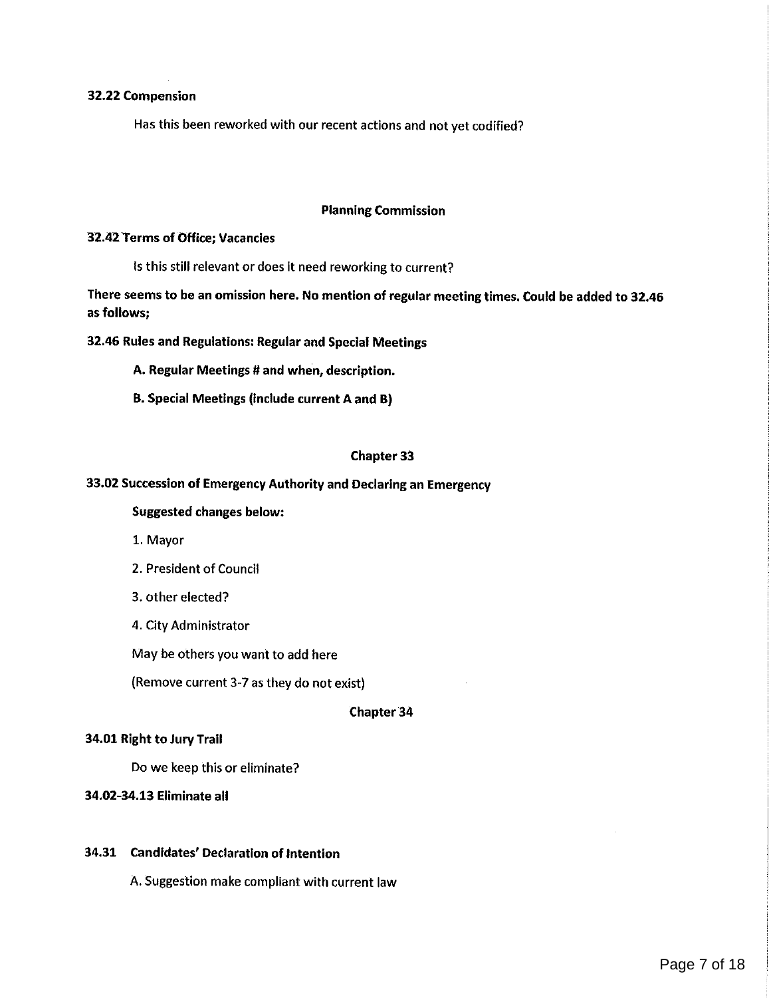#### 32.22 Compension

Has this been reworked with our recent actions and not yet codified?

#### Planning Commission

#### 32.42 Terms of Office; Vacancies

is this still relevant or does It need reworking to current?

There seems to be an omission here. No mention of regular meeting times. Could be added to 32.46 as follows;

32.46 Rules and Regulations: Regular and Special Meetings

- A. Regular Meetings # and when, description.
- 3. Special Meetings (include current A and B)

#### Chapter 33

#### 33.02 Succession of Emergency Authority and Declaring an Emergency

#### Suggested changes below:

- 1. Mayor
- 2. President of Council
- 3. other elected?
- 4. City Administrator

May be others you want to add here

(Remove current 3-7 as they do not exist)

#### Chapter 34

#### 34.01 Right to Jury Trail

Do we keep this or eliminate?

#### 34.02-34.13 Eliminate all

#### 34.31 Candidates' Declaration of intention

A. Suggestion make compliant with current law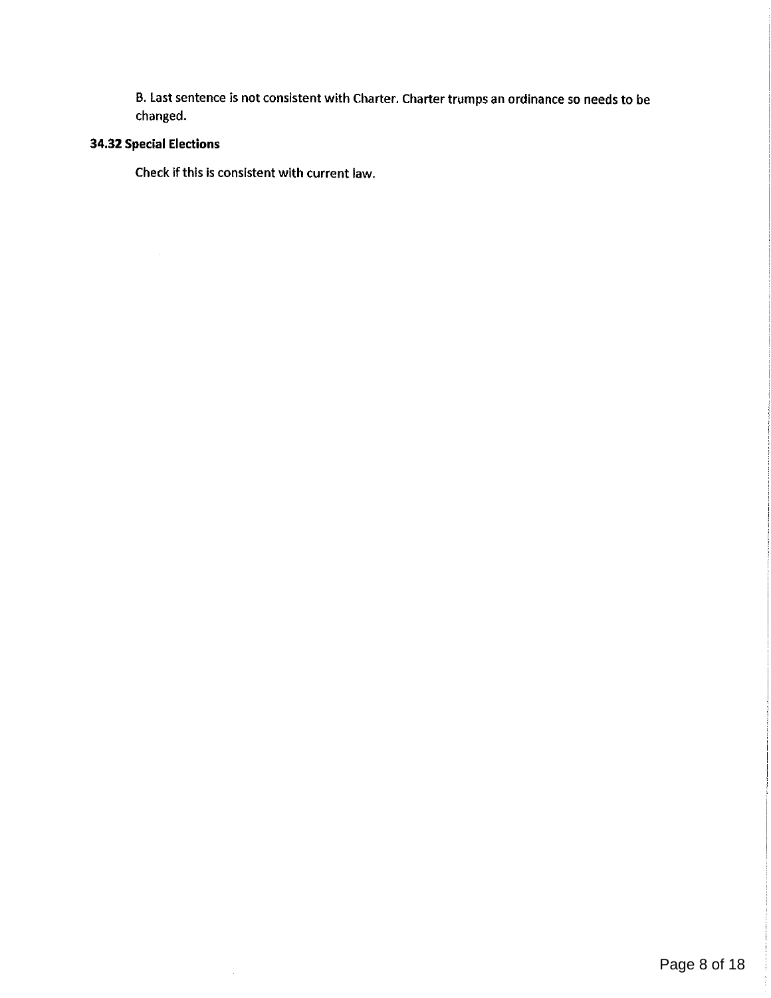B. Last sentence is not consistent with Charter. Charter trumps an ordinance so needs to be changed.

## 34.32 Special Elections

 $\mathcal{A}^{\mathcal{A}}$ 

Check if this is consistent with current law.

 $\mathcal{A}^{\mathcal{A}}$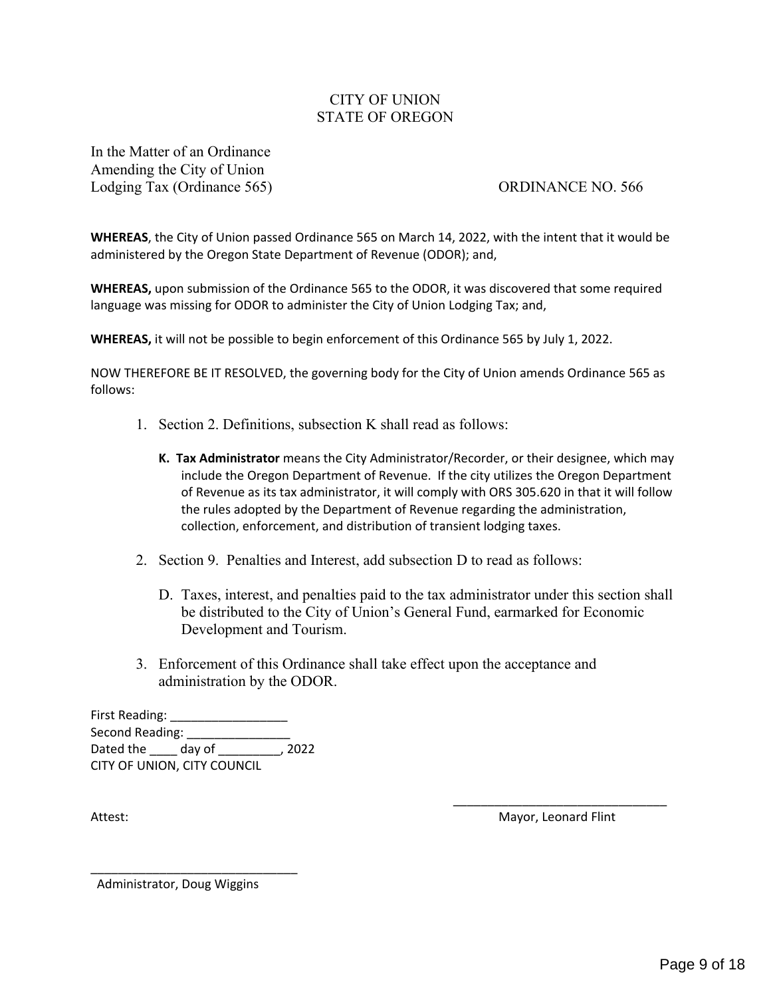### CITY OF UNION STATE OF OREGON

<span id="page-8-0"></span>In the Matter of an Ordinance Amending the City of Union Lodging Tax (Ordinance 565) ORDINANCE NO. 566

**WHEREAS**, the City of Union passed Ordinance 565 on March 14, 2022, with the intent that it would be administered by the Oregon State Department of Revenue (ODOR); and,

**WHEREAS,** upon submission of the Ordinance 565 to the ODOR, it was discovered that some required language was missing for ODOR to administer the City of Union Lodging Tax; and,

**WHEREAS,** it will not be possible to begin enforcement of this Ordinance 565 by July 1, 2022.

NOW THEREFORE BE IT RESOLVED, the governing body for the City of Union amends Ordinance 565 as follows:

- 1. Section 2. Definitions, subsection K shall read as follows:
	- **K. Tax Administrator** means the City Administrator/Recorder, or their designee, which may include the Oregon Department of Revenue. If the city utilizes the Oregon Department of Revenue as its tax administrator, it will comply with ORS 305.620 in that it will follow the rules adopted by the Department of Revenue regarding the administration, collection, enforcement, and distribution of transient lodging taxes.
- 2. Section 9. Penalties and Interest, add subsection D to read as follows:
	- D. Taxes, interest, and penalties paid to the tax administrator under this section shall be distributed to the City of Union's General Fund, earmarked for Economic Development and Tourism.
- 3. Enforcement of this Ordinance shall take effect upon the acceptance and administration by the ODOR.

First Reading: Second Reading: Dated the \_\_\_\_ day of \_\_\_\_\_\_\_\_\_, 2022 CITY OF UNION, CITY COUNCIL

\_\_\_\_\_\_\_\_\_\_\_\_\_\_\_\_\_\_\_\_\_\_\_\_\_\_\_\_\_\_\_ Attest: **Mayor, Leonard Flint** 

Administrator, Doug Wiggins

\_\_\_\_\_\_\_\_\_\_\_\_\_\_\_\_\_\_\_\_\_\_\_\_\_\_\_\_\_\_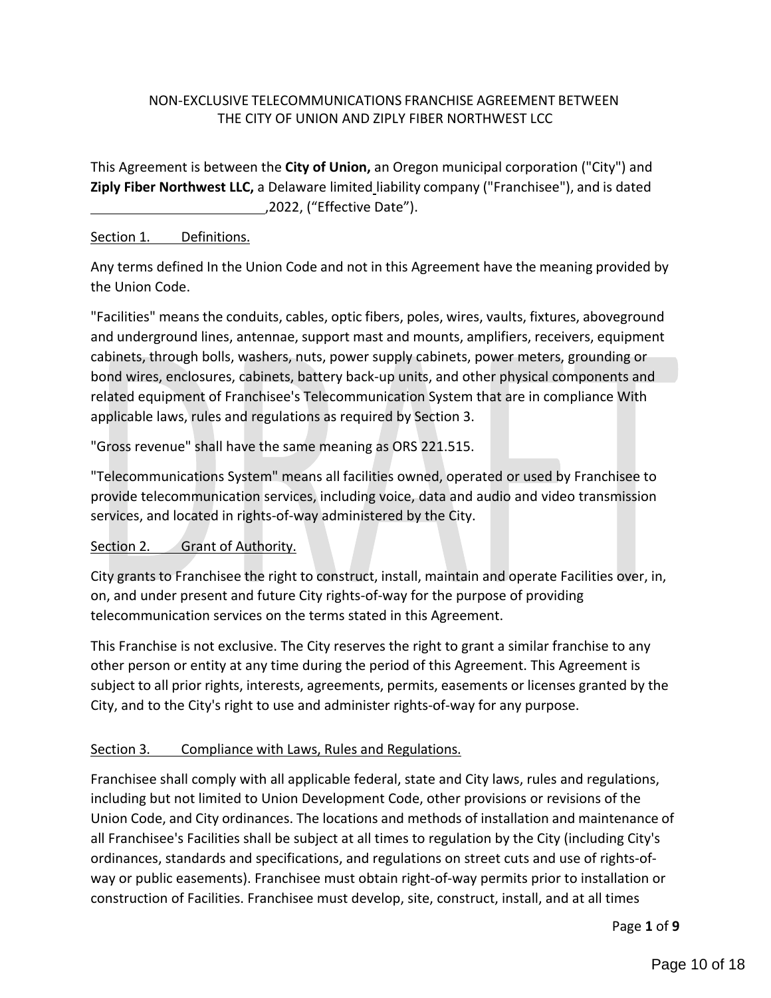### <span id="page-9-0"></span>NON-EXCLUSIVE TELECOMMUNICATIONS FRANCHISE AGREEMENT BETWEEN THE CITY OF UNION AND ZIPLY FIBER NORTHWEST LCC

This Agreement is between the **City of Union,** an Oregon municipal corporation ("City") and **Ziply Fiber Northwest LLC,** a Delaware limited liability company ("Franchisee"), and is dated ,2022, ("Effective Date").

### Section 1. Definitions.

Any terms defined In the Union Code and not in this Agreement have the meaning provided by the Union Code.

"Facilities" means the conduits, cables, optic fibers, poles, wires, vaults, fixtures, aboveground and underground lines, antennae, support mast and mounts, amplifiers, receivers, equipment cabinets, through bolls, washers, nuts, power supply cabinets, power meters, grounding or bond wires, enclosures, cabinets, battery back-up units, and other physical components and related equipment of Franchisee's Telecommunication System that are in compliance With applicable laws, rules and regulations as required by Section 3.

"Gross revenue" shall have the same meaning as ORS 221.515.

"Telecommunications System" means all facilities owned, operated or used by Franchisee to provide telecommunication services, including voice, data and audio and video transmission services, and located in rights-of-way administered by the City.

### Section 2. Grant of Authority.

City grants to Franchisee the right to construct, install, maintain and operate Facilities over, in, on, and under present and future City rights-of-way for the purpose of providing telecommunication services on the terms stated in this Agreement.

This Franchise is not exclusive. The City reserves the right to grant a similar franchise to any other person or entity at any time during the period of this Agreement. This Agreement is subject to all prior rights, interests, agreements, permits, easements or licenses granted by the City, and to the City's right to use and administer rights-of-way for any purpose.

### Section 3. Compliance with Laws, Rules and Regulations.

Franchisee shall comply with all applicable federal, state and City laws, rules and regulations, including but not limited to Union Development Code, other provisions or revisions of the Union Code, and City ordinances. The locations and methods of installation and maintenance of all Franchisee's Facilities shall be subject at all times to regulation by the City (including City's ordinances, standards and specifications, and regulations on street cuts and use of rights-ofway or public easements). Franchisee must obtain right-of-way permits prior to installation or construction of Facilities. Franchisee must develop, site, construct, install, and at all times

Page **1** of **9**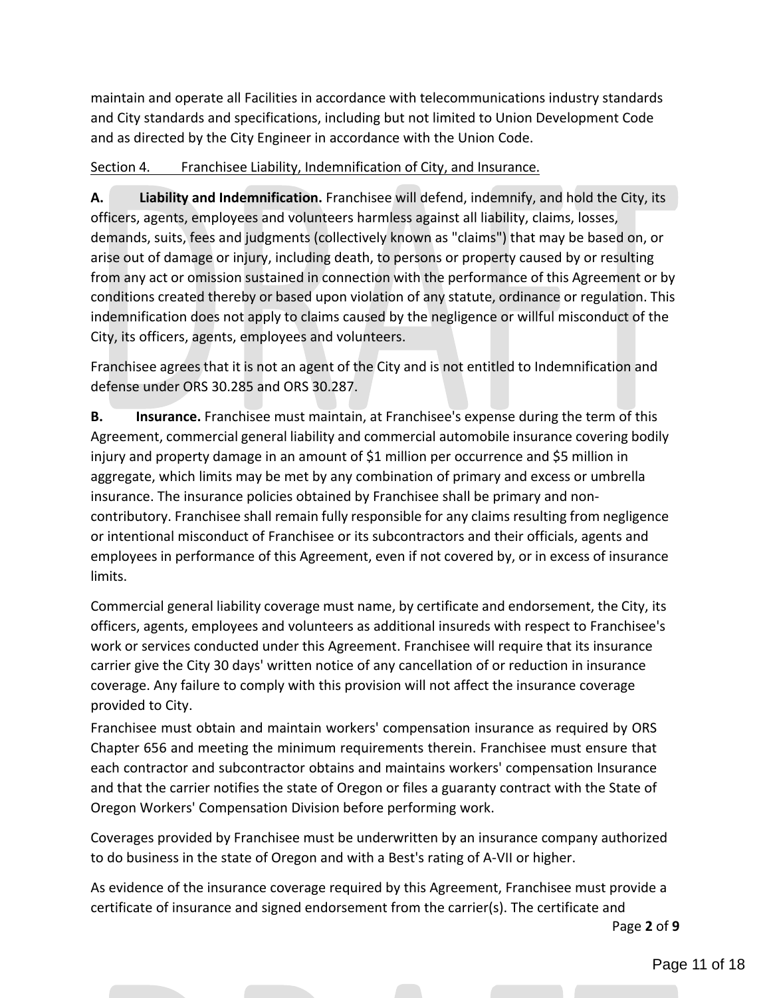maintain and operate all Facilities in accordance with telecommunications industry standards and City standards and specifications, including but not limited to Union Development Code and as directed by the City Engineer in accordance with the Union Code.

### Section 4. Franchisee Liability, Indemnification of City, and Insurance.

**A. Liability and Indemnification.** Franchisee will defend, indemnify, and hold the City, its officers, agents, employees and volunteers harmless against all liability, claims, losses, demands, suits, fees and judgments (collectively known as "claims") that may be based on, or arise out of damage or injury, including death, to persons or property caused by or resulting from any act or omission sustained in connection with the performance of this Agreement or by conditions created thereby or based upon violation of any statute, ordinance or regulation. This indemnification does not apply to claims caused by the negligence or willful misconduct of the City, its officers, agents, employees and volunteers.

Franchisee agrees that it is not an agent of the City and is not entitled to Indemnification and defense under ORS 30.285 and ORS 30.287.

**B. Insurance.** Franchisee must maintain, at Franchisee's expense during the term of this Agreement, commercial general liability and commercial automobile insurance covering bodily injury and property damage in an amount of \$1 million per occurrence and \$5 million in aggregate, which limits may be met by any combination of primary and excess or umbrella insurance. The insurance policies obtained by Franchisee shall be primary and noncontributory. Franchisee shall remain fully responsible for any claims resulting from negligence or intentional misconduct of Franchisee or its subcontractors and their officials, agents and employees in performance of this Agreement, even if not covered by, or in excess of insurance limits.

Commercial general liability coverage must name, by certificate and endorsement, the City, its officers, agents, employees and volunteers as additional insureds with respect to Franchisee's work or services conducted under this Agreement. Franchisee will require that its insurance carrier give the City 30 days' written notice of any cancellation of or reduction in insurance coverage. Any failure to comply with this provision will not affect the insurance coverage provided to City.

Franchisee must obtain and maintain workers' compensation insurance as required by ORS Chapter 656 and meeting the minimum requirements therein. Franchisee must ensure that each contractor and subcontractor obtains and maintains workers' compensation Insurance and that the carrier notifies the state of Oregon or files a guaranty contract with the State of Oregon Workers' Compensation Division before performing work.

Coverages provided by Franchisee must be underwritten by an insurance company authorized to do business in the state of Oregon and with a Best's rating of A-VII or higher.

As evidence of the insurance coverage required by this Agreement, Franchisee must provide a certificate of insurance and signed endorsement from the carrier(s). The certificate and

Page **2** of **9**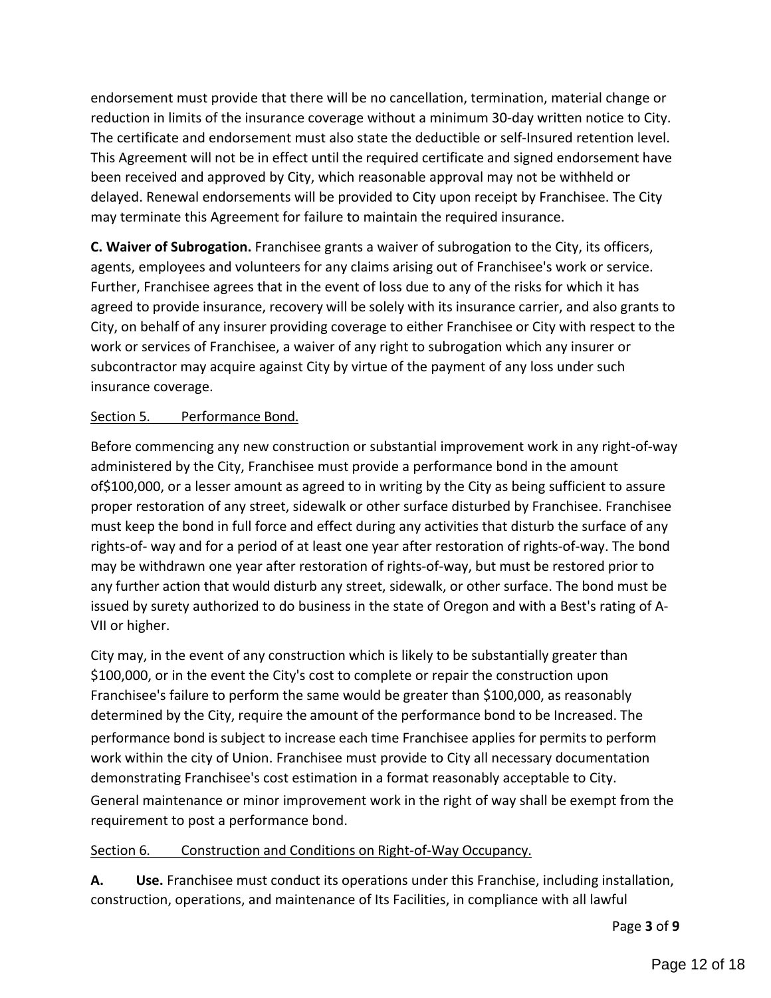endorsement must provide that there will be no cancellation, termination, material change or reduction in limits of the insurance coverage without a minimum 30-day written notice to City. The certificate and endorsement must also state the deductible or self-Insured retention level. This Agreement will not be in effect until the required certificate and signed endorsement have been received and approved by City, which reasonable approval may not be withheld or delayed. Renewal endorsements will be provided to City upon receipt by Franchisee. The City may terminate this Agreement for failure to maintain the required insurance.

**C. Waiver of Subrogation.** Franchisee grants a waiver of subrogation to the City, its officers, agents, employees and volunteers for any claims arising out of Franchisee's work or service. Further, Franchisee agrees that in the event of loss due to any of the risks for which it has agreed to provide insurance, recovery will be solely with its insurance carrier, and also grants to City, on behalf of any insurer providing coverage to either Franchisee or City with respect to the work or services of Franchisee, a waiver of any right to subrogation which any insurer or subcontractor may acquire against City by virtue of the payment of any loss under such insurance coverage.

### Section 5. Performance Bond.

Before commencing any new construction or substantial improvement work in any right-of-way administered by the City, Franchisee must provide a performance bond in the amount of\$100,000, or a lesser amount as agreed to in writing by the City as being sufficient to assure proper restoration of any street, sidewalk or other surface disturbed by Franchisee. Franchisee must keep the bond in full force and effect during any activities that disturb the surface of any rights-of- way and for a period of at least one year after restoration of rights-of-way. The bond may be withdrawn one year after restoration of rights-of-way, but must be restored prior to any further action that would disturb any street, sidewalk, or other surface. The bond must be issued by surety authorized to do business in the state of Oregon and with a Best's rating of A-VII or higher.

City may, in the event of any construction which is likely to be substantially greater than \$100,000, or in the event the City's cost to complete or repair the construction upon Franchisee's failure to perform the same would be greater than \$100,000, as reasonably determined by the City, require the amount of the performance bond to be Increased. The performance bond is subject to increase each time Franchisee applies for permits to perform work within the city of Union. Franchisee must provide to City all necessary documentation demonstrating Franchisee's cost estimation in a format reasonably acceptable to City. General maintenance or minor improvement work in the right of way shall be exempt from the requirement to post a performance bond.

### Section 6. Construction and Conditions on Right-of-Way Occupancy.

**A. Use.** Franchisee must conduct its operations under this Franchise, including installation, construction, operations, and maintenance of Its Facilities, in compliance with all lawful

Page **3** of **9**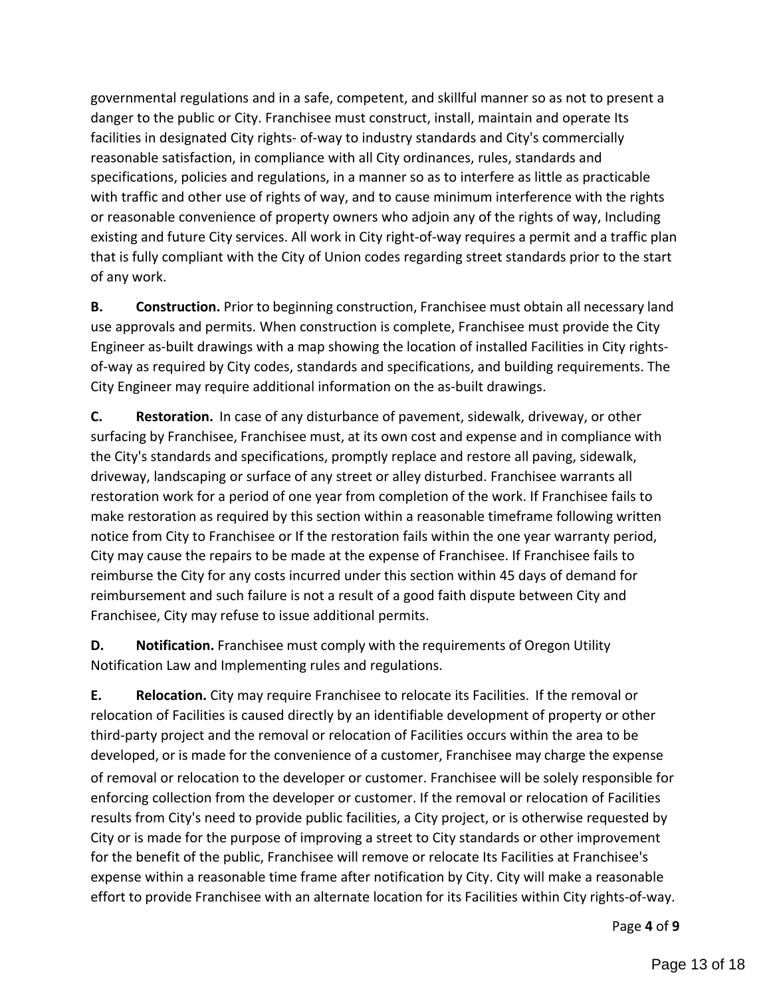governmental regulations and in a safe, competent, and skillful manner so as not to present a danger to the public or City. Franchisee must construct, install, maintain and operate Its facilities in designated City rights- of-way to industry standards and City's commercially reasonable satisfaction, in compliance with all City ordinances, rules, standards and specifications, policies and regulations, in a manner so as to interfere as little as practicable with traffic and other use of rights of way, and to cause minimum interference with the rights or reasonable convenience of property owners who adjoin any of the rights of way, Including existing and future City services. All work in City right-of-way requires a permit and a traffic plan that is fully compliant with the City of Union codes regarding street standards prior to the start of any work.

**B.** Construction. Prior to beginning construction, Franchisee must obtain all necessary land use approvals and permits. When construction is complete, Franchisee must provide the City Engineer as-built drawings with a map showing the location of installed Facilities in City rightsof-way as required by City codes, standards and specifications, and building requirements. The City Engineer may require additional information on the as-built drawings.

**C. Restoration.** In case of any disturbance of pavement, sidewalk, driveway, or other surfacing by Franchisee, Franchisee must, at its own cost and expense and in compliance with the City's standards and specifications, promptly replace and restore all paving, sidewalk, driveway, landscaping or surface of any street or alley disturbed. Franchisee warrants all restoration work for a period of one year from completion of the work. If Franchisee fails to make restoration as required by this section within a reasonable timeframe following written notice from City to Franchisee or If the restoration fails within the one year warranty period, City may cause the repairs to be made at the expense of Franchisee. If Franchisee fails to reimburse the City for any costs incurred under this section within 45 days of demand for reimbursement and such failure is not a result of a good faith dispute between City and Franchisee, City may refuse to issue additional permits.

**D.** Notification. Franchisee must comply with the requirements of Oregon Utility Notification Law and Implementing rules and regulations.

**E. Relocation.** City may require Franchisee to relocate its Facilities. If the removal or relocation of Facilities is caused directly by an identifiable development of property or other third-party project and the removal or relocation of Facilities occurs within the area to be developed, or is made for the convenience of a customer, Franchisee may charge the expense of removal or relocation to the developer or customer. Franchisee will be solely responsible for enforcing collection from the developer or customer. If the removal or relocation of Facilities results from City's need to provide public facilities, a City project, or is otherwise requested by City or is made for the purpose of improving a street to City standards or other improvement for the benefit of the public, Franchisee will remove or relocate Its Facilities at Franchisee's expense within a reasonable time frame after notification by City. City will make a reasonable effort to provide Franchisee with an alternate location for its Facilities within City rights-of-way.

Page **4** of **9**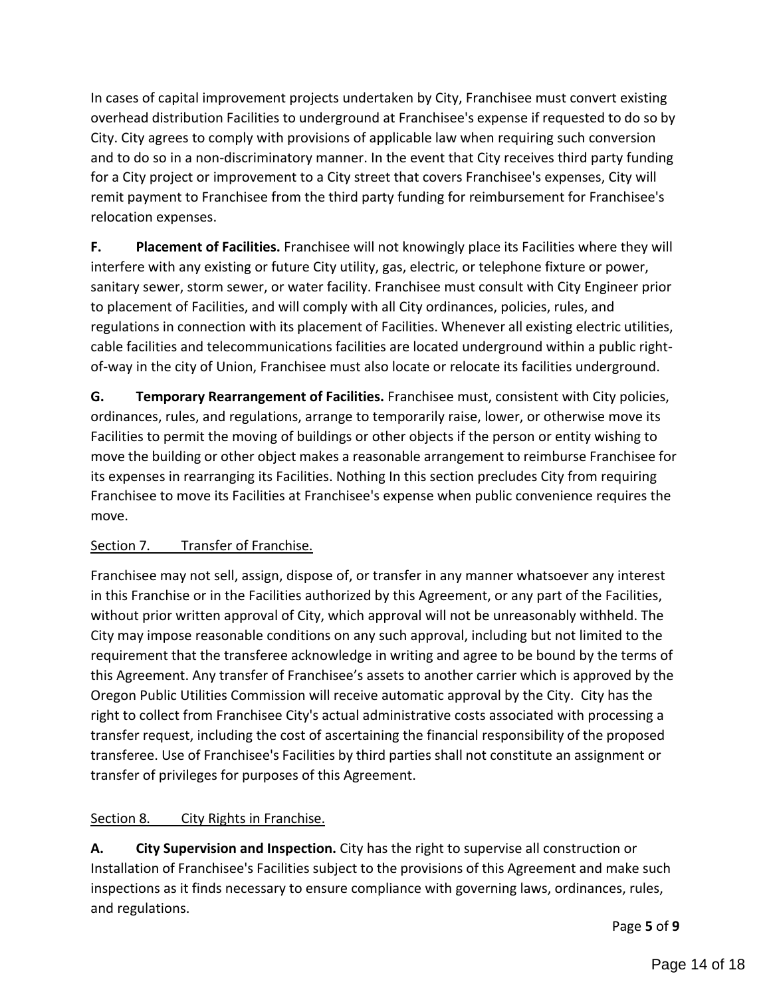In cases of capital improvement projects undertaken by City, Franchisee must convert existing overhead distribution Facilities to underground at Franchisee's expense if requested to do so by City. City agrees to comply with provisions of applicable law when requiring such conversion and to do so in a non-discriminatory manner. In the event that City receives third party funding for a City project or improvement to a City street that covers Franchisee's expenses, City will remit payment to Franchisee from the third party funding for reimbursement for Franchisee's relocation expenses.

**F. Placement of Facilities.** Franchisee will not knowingly place its Facilities where they will interfere with any existing or future City utility, gas, electric, or telephone fixture or power, sanitary sewer, storm sewer, or water facility. Franchisee must consult with City Engineer prior to placement of Facilities, and will comply with all City ordinances, policies, rules, and regulations in connection with its placement of Facilities. Whenever all existing electric utilities, cable facilities and telecommunications facilities are located underground within a public rightof-way in the city of Union, Franchisee must also locate or relocate its facilities underground.

**G. Temporary Rearrangement of Facilities.** Franchisee must, consistent with City policies, ordinances, rules, and regulations, arrange to temporarily raise, lower, or otherwise move its Facilities to permit the moving of buildings or other objects if the person or entity wishing to move the building or other object makes a reasonable arrangement to reimburse Franchisee for its expenses in rearranging its Facilities. Nothing In this section precludes City from requiring Franchisee to move its Facilities at Franchisee's expense when public convenience requires the move.

### Section 7. Transfer of Franchise.

Franchisee may not sell, assign, dispose of, or transfer in any manner whatsoever any interest in this Franchise or in the Facilities authorized by this Agreement, or any part of the Facilities, without prior written approval of City, which approval will not be unreasonably withheld. The City may impose reasonable conditions on any such approval, including but not limited to the requirement that the transferee acknowledge in writing and agree to be bound by the terms of this Agreement. Any transfer of Franchisee's assets to another carrier which is approved by the Oregon Public Utilities Commission will receive automatic approval by the City. City has the right to collect from Franchisee City's actual administrative costs associated with processing a transfer request, including the cost of ascertaining the financial responsibility of the proposed transferee. Use of Franchisee's Facilities by third parties shall not constitute an assignment or transfer of privileges for purposes of this Agreement.

### Section 8. City Rights in Franchise.

**A. City Supervision and Inspection.** City has the right to supervise all construction or Installation of Franchisee's Facilities subject to the provisions of this Agreement and make such inspections as it finds necessary to ensure compliance with governing laws, ordinances, rules, and regulations.

Page **5** of **9**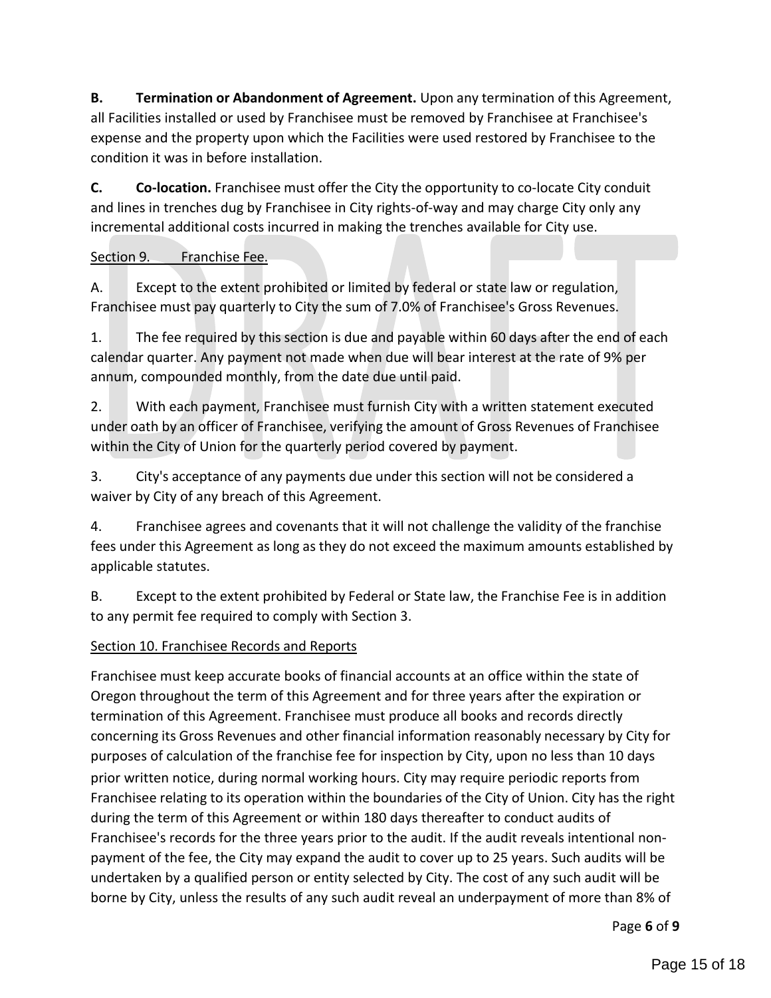**B. Termination or Abandonment of Agreement.** Upon any termination of this Agreement, all Facilities installed or used by Franchisee must be removed by Franchisee at Franchisee's expense and the property upon which the Facilities were used restored by Franchisee to the condition it was in before installation.

**C. Co-location.** Franchisee must offer the City the opportunity to co-locate City conduit and lines in trenches dug by Franchisee in City rights-of-way and may charge City only any incremental additional costs incurred in making the trenches available for City use.

### Section 9. Franchise Fee.

A. Except to the extent prohibited or limited by federal or state law or regulation, Franchisee must pay quarterly to City the sum of 7.0% of Franchisee's Gross Revenues.

1. The fee required by this section is due and payable within 60 days after the end of each calendar quarter. Any payment not made when due will bear interest at the rate of 9% per annum, compounded monthly, from the date due until paid.

2. With each payment, Franchisee must furnish City with a written statement executed under oath by an officer of Franchisee, verifying the amount of Gross Revenues of Franchisee within the City of Union for the quarterly period covered by payment.

3. City's acceptance of any payments due under this section will not be considered a waiver by City of any breach of this Agreement.

4. Franchisee agrees and covenants that it will not challenge the validity of the franchise fees under this Agreement as long as they do not exceed the maximum amounts established by applicable statutes.

B. Except to the extent prohibited by Federal or State law, the Franchise Fee is in addition to any permit fee required to comply with Section 3.

### Section 10. Franchisee Records and Reports

Franchisee must keep accurate books of financial accounts at an office within the state of Oregon throughout the term of this Agreement and for three years after the expiration or termination of this Agreement. Franchisee must produce all books and records directly concerning its Gross Revenues and other financial information reasonably necessary by City for purposes of calculation of the franchise fee for inspection by City, upon no less than 10 days prior written notice, during normal working hours. City may require periodic reports from Franchisee relating to its operation within the boundaries of the City of Union. City has the right during the term of this Agreement or within 180 days thereafter to conduct audits of Franchisee's records for the three years prior to the audit. If the audit reveals intentional nonpayment of the fee, the City may expand the audit to cover up to 25 years. Such audits will be undertaken by a qualified person or entity selected by City. The cost of any such audit will be borne by City, unless the results of any such audit reveal an underpayment of more than 8% of

Page **6** of **9**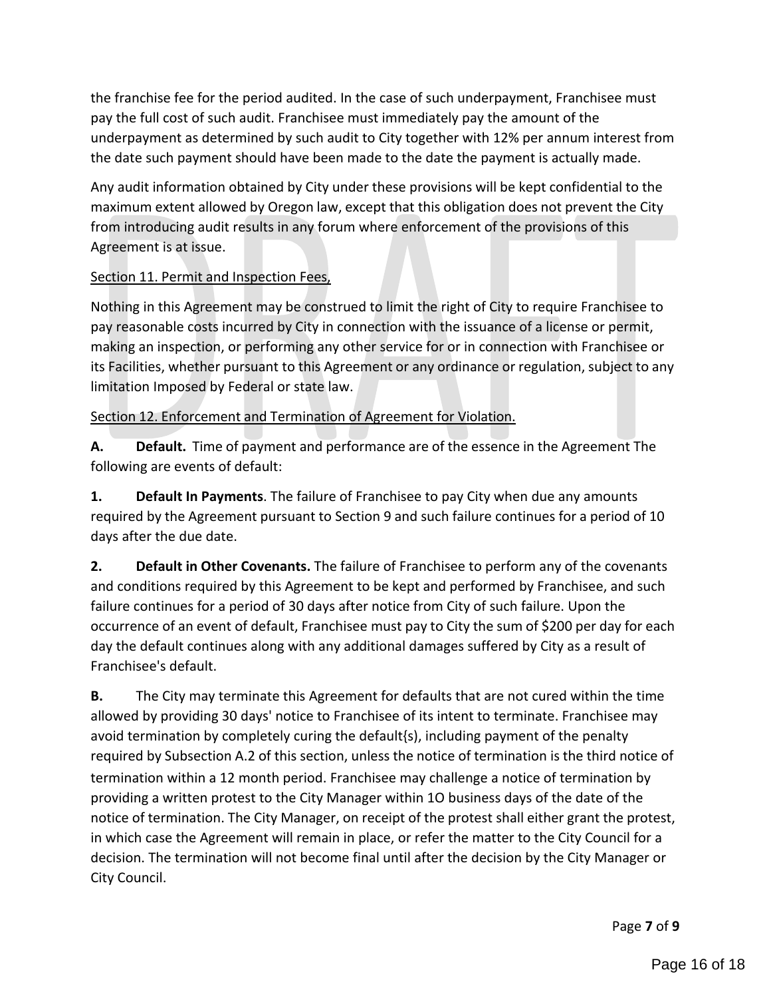the franchise fee for the period audited. In the case of such underpayment, Franchisee must pay the full cost of such audit. Franchisee must immediately pay the amount of the underpayment as determined by such audit to City together with 12% per annum interest from the date such payment should have been made to the date the payment is actually made.

Any audit information obtained by City under these provisions will be kept confidential to the maximum extent allowed by Oregon law, except that this obligation does not prevent the City from introducing audit results in any forum where enforcement of the provisions of this Agreement is at issue.

## Section 11. Permit and Inspection Fees,

Nothing in this Agreement may be construed to limit the right of City to require Franchisee to pay reasonable costs incurred by City in connection with the issuance of a license or permit, making an inspection, or performing any other service for or in connection with Franchisee or its Facilities, whether pursuant to this Agreement or any ordinance or regulation, subject to any limitation Imposed by Federal or state law.

### Section 12. Enforcement and Termination of Agreement for Violation.

**A. Default.** Time of payment and performance are of the essence in the Agreement The following are events of default:

**1. Default In Payments**. The failure of Franchisee to pay City when due any amounts required by the Agreement pursuant to Section 9 and such failure continues for a period of 10 days after the due date.

**2. Default in Other Covenants.** The failure of Franchisee to perform any of the covenants and conditions required by this Agreement to be kept and performed by Franchisee, and such failure continues for a period of 30 days after notice from City of such failure. Upon the occurrence of an event of default, Franchisee must pay to City the sum of \$200 per day for each day the default continues along with any additional damages suffered by City as a result of Franchisee's default.

**B.** The City may terminate this Agreement for defaults that are not cured within the time allowed by providing 30 days' notice to Franchisee of its intent to terminate. Franchisee may avoid termination by completely curing the default{s), including payment of the penalty required by Subsection A.2 of this section, unless the notice of termination is the third notice of termination within a 12 month period. Franchisee may challenge a notice of termination by providing a written protest to the City Manager within 1O business days of the date of the notice of termination. The City Manager, on receipt of the protest shall either grant the protest, in which case the Agreement will remain in place, or refer the matter to the City Council for a decision. The termination will not become final until after the decision by the City Manager or City Council.

Page **7** of **9**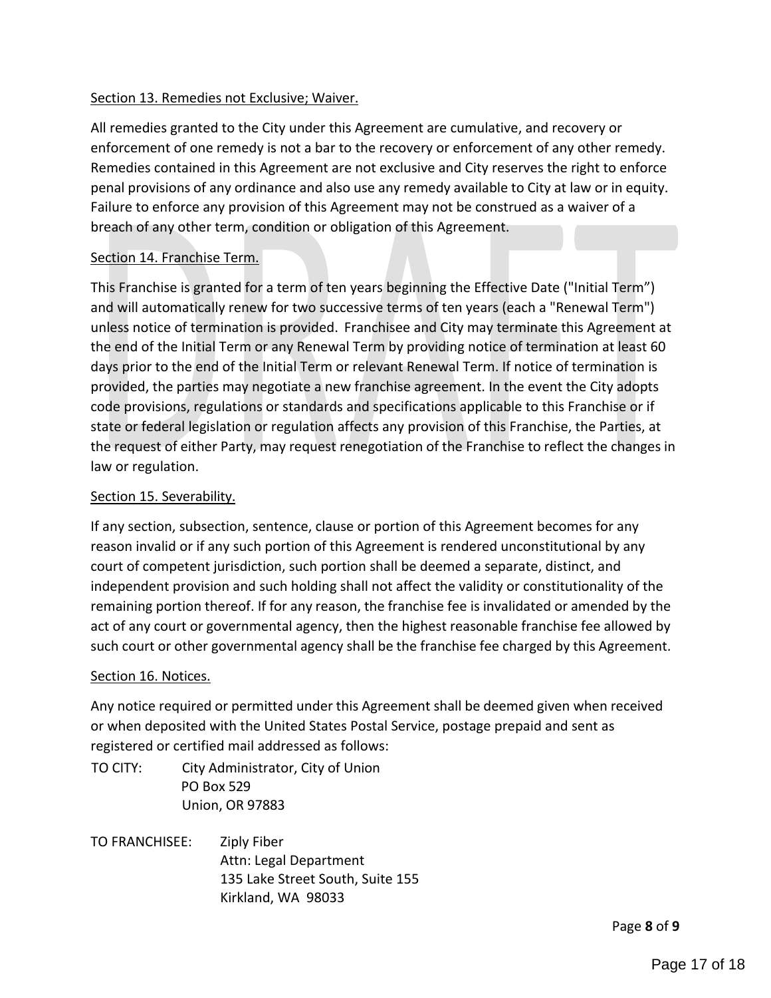### Section 13. Remedies not Exclusive; Waiver.

All remedies granted to the City under this Agreement are cumulative, and recovery or enforcement of one remedy is not a bar to the recovery or enforcement of any other remedy. Remedies contained in this Agreement are not exclusive and City reserves the right to enforce penal provisions of any ordinance and also use any remedy available to City at law or in equity. Failure to enforce any provision of this Agreement may not be construed as a waiver of a breach of any other term, condition or obligation of this Agreement.

### Section 14. Franchise Term.

This Franchise is granted for a term of ten years beginning the Effective Date ("Initial Term") and will automatically renew for two successive terms of ten years (each a "Renewal Term") unless notice of termination is provided. Franchisee and City may terminate this Agreement at the end of the Initial Term or any Renewal Term by providing notice of termination at least 60 days prior to the end of the Initial Term or relevant Renewal Term. If notice of termination is provided, the parties may negotiate a new franchise agreement. In the event the City adopts code provisions, regulations or standards and specifications applicable to this Franchise or if state or federal legislation or regulation affects any provision of this Franchise, the Parties, at the request of either Party, may request renegotiation of the Franchise to reflect the changes in law or regulation.

### Section 15. Severability.

If any section, subsection, sentence, clause or portion of this Agreement becomes for any reason invalid or if any such portion of this Agreement is rendered unconstitutional by any court of competent jurisdiction, such portion shall be deemed a separate, distinct, and independent provision and such holding shall not affect the validity or constitutionality of the remaining portion thereof. If for any reason, the franchise fee is invalidated or amended by the act of any court or governmental agency, then the highest reasonable franchise fee allowed by such court or other governmental agency shall be the franchise fee charged by this Agreement.

### Section 16. Notices.

Any notice required or permitted under this Agreement shall be deemed given when received or when deposited with the United States Postal Service, postage prepaid and sent as registered or certified mail addressed as follows:

TO CITY: City Administrator, City of Union PO Box 529 Union, OR 97883

TO FRANCHISEE: Ziply Fiber Attn: Legal Department 135 Lake Street South, Suite 155 Kirkland, WA 98033

Page **8** of **9**